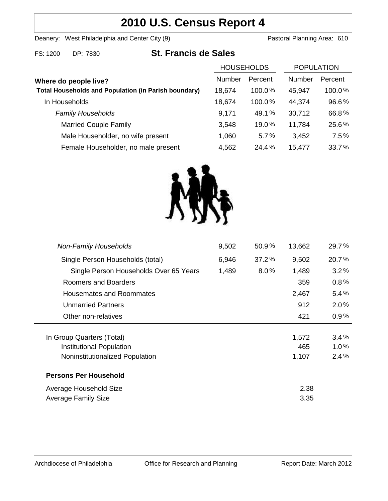# **2010 U.S. Census Report 4**

Deanery: West Philadelphia and Center City (9) Deanery: West Philadelphia and Center City (9)

|                                                             | <b>HOUSEHOLDS</b> |         | <b>POPULATION</b> |         |
|-------------------------------------------------------------|-------------------|---------|-------------------|---------|
| Where do people live?                                       | <b>Number</b>     | Percent | Number            | Percent |
| <b>Total Households and Population (in Parish boundary)</b> | 18,674            | 100.0%  | 45,947            | 100.0%  |
| In Households                                               | 18,674            | 100.0%  | 44,374            | 96.6%   |
| <b>Family Households</b>                                    | 9,171             | 49.1%   | 30,712            | 66.8%   |
| <b>Married Couple Family</b>                                | 3,548             | 19.0%   | 11,784            | 25.6%   |
| Male Householder, no wife present                           | 1,060             | 5.7%    | 3,452             | 7.5%    |
| Female Householder, no male present                         | 4,562             | 24.4%   | 15,477            | 33.7%   |



| <b>Non-Family Households</b>           | 9,502 | 50.9%   | 13,662 | 29.7%   |
|----------------------------------------|-------|---------|--------|---------|
| Single Person Households (total)       | 6,946 | 37.2%   | 9,502  | 20.7%   |
| Single Person Households Over 65 Years | 1,489 | $8.0\%$ | 1,489  | 3.2%    |
| Roomers and Boarders                   |       |         | 359    | 0.8%    |
| Housemates and Roommates               |       |         | 2,467  | 5.4%    |
| <b>Unmarried Partners</b>              |       |         | 912    | $2.0\%$ |
| Other non-relatives                    |       |         | 421    | $0.9\%$ |
| In Group Quarters (Total)              |       |         | 1,572  | 3.4%    |
| Institutional Population               |       |         | 465    | $1.0\%$ |
| Noninstitutionalized Population        |       |         | 1,107  | 2.4%    |
| <b>Persons Per Household</b>           |       |         |        |         |
| Average Household Size                 | 2.38  |         |        |         |
| Average Family Size                    | 3.35  |         |        |         |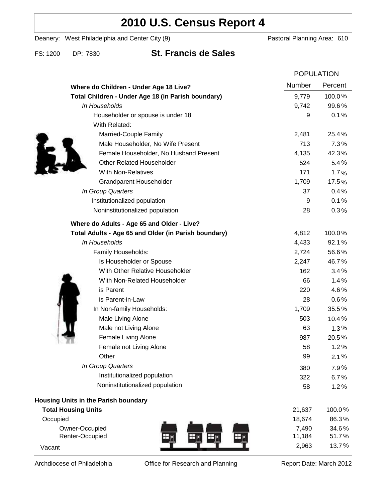# **2010 U.S. Census Report 4**

Deanery: West Philadelphia and Center City (9) Deanery: West Philadelphia and Center City (9)

FS: 1200 DP: 7830 **St. Francis de Sales**

|                                                      |        | <b>POPULATION</b> |  |
|------------------------------------------------------|--------|-------------------|--|
| Where do Children - Under Age 18 Live?               | Number | Percent           |  |
| Total Children - Under Age 18 (in Parish boundary)   | 9,779  | 100.0%            |  |
| In Households                                        | 9,742  | 99.6%             |  |
| Householder or spouse is under 18                    | 9      | 0.1%              |  |
| With Related:                                        |        |                   |  |
| Married-Couple Family                                | 2,481  | 25.4%             |  |
| Male Householder, No Wife Present                    | 713    | 7.3%              |  |
| Female Householder, No Husband Present               | 4,135  | 42.3%             |  |
| <b>Other Related Householder</b>                     | 524    | 5.4%              |  |
| <b>With Non-Relatives</b>                            | 171    | 1.7%              |  |
| <b>Grandparent Householder</b>                       | 1,709  | 17.5%             |  |
| In Group Quarters                                    | 37     | 0.4%              |  |
| Institutionalized population                         | 9      | 0.1%              |  |
| Noninstitutionalized population                      | 28     | 0.3%              |  |
| Where do Adults - Age 65 and Older - Live?           |        |                   |  |
| Total Adults - Age 65 and Older (in Parish boundary) | 4,812  | 100.0%            |  |
| In Households                                        | 4,433  | 92.1%             |  |
| Family Households:                                   | 2,724  | 56.6%             |  |
| Is Householder or Spouse                             | 2,247  | 46.7%             |  |
| With Other Relative Householder                      | 162    | 3.4%              |  |
| With Non-Related Householder                         | 66     | 1.4%              |  |
| is Parent                                            | 220    | 4.6%              |  |
| is Parent-in-Law                                     | 28     | 0.6%              |  |
| In Non-family Households:                            | 1,709  | 35.5%             |  |
| Male Living Alone                                    | 503    | 10.4%             |  |
| Male not Living Alone                                | 63     | $1.3\%$           |  |
| Female Living Alone                                  | 987    | 20.5%             |  |
| Female not Living Alone                              | 58     | 1.2%              |  |
| Other                                                | 99     | 2.1%              |  |
| In Group Quarters                                    | 380    | 7.9%              |  |
| Institutionalized population                         | 322    | 6.7%              |  |
| Noninstitutionalized population                      | 58     | 1.2%              |  |
| <b>Housing Units in the Parish boundary</b>          |        |                   |  |
| <b>Total Housing Units</b>                           | 21,637 | 100.0%            |  |
| Occupied                                             | 18,674 | 86.3%             |  |
| Owner-Occupied                                       | 7,490  | 34.6%             |  |
| Renter-Occupied                                      | 11,184 | 51.7%             |  |
| Vacant                                               | 2,963  | 13.7%             |  |

Archdiocese of Philadelphia **Office for Research and Planning** Report Date: March 2012